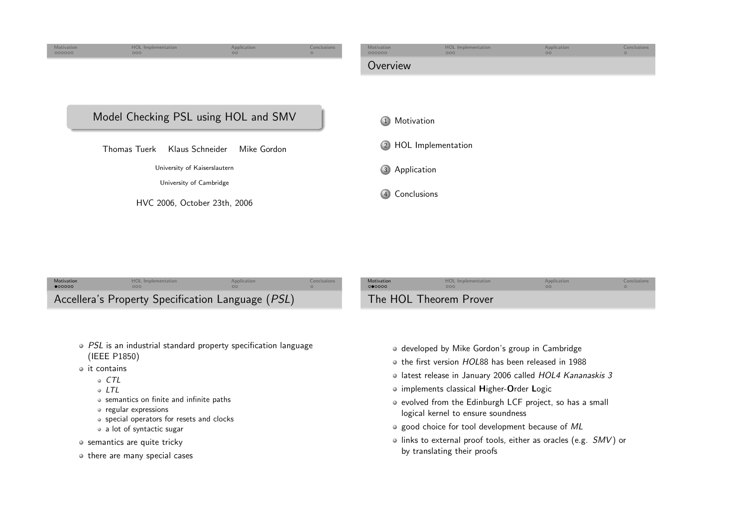<span id="page-0-0"></span>

| Motivation<br>•000000                             | <b>HOL</b> Implementation | Application | Conclusions | Motivation<br>000000   | <b>HOL Implementation</b> | Application | Conclusions |
|---------------------------------------------------|---------------------------|-------------|-------------|------------------------|---------------------------|-------------|-------------|
| Accellera's Property Specification Language (PSL) |                           |             |             | The HOL Theorem Prover |                           |             |             |

- PSL is an industrial standard property specification language (IEEE P1850)
- $\bullet$  it contains
	- $\circ$  CTL
	- LTL
	- semantics on finite and infinite paths
	- regular expressions
	- special operators for resets and clocks
	- <sup>a</sup> lot of syntactic sugar
- o semantics are quite tricky
- $\bullet$  there are many special cases
- developed by Mike Gordon's group in Cambridge
- the first version HOL<sup>88</sup> has been released in <sup>1988</sup>
- latest release in January 2006 called *HOL4 Kananaskis 3*
- implements classical <sup>H</sup>igher-Order <sup>L</sup>ogic
- evolved from the Edinburgh LCF project, so has <sup>a</sup> small logical kernel to ensure soundness
- o good choice for tool development because of ML
- links to external proof tools, either as oracles (e.g.  $\mathcal{S}MV$ ) or by translating their proofs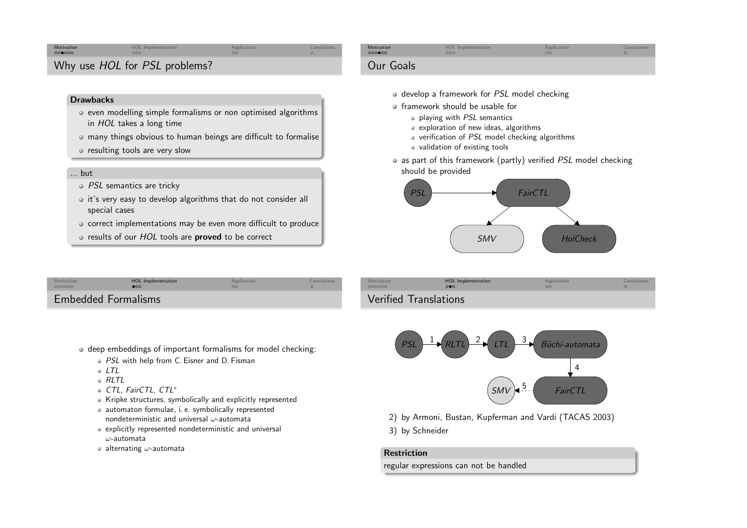### [Motivation](#page-0-0)<br>000000 **n HOL [Implementation](#page-2-0) [Application](#page-2-0) Application** [Conclusions](#page-3-0)

# Why use *HOL* for *PSL* problems?

#### **Drawbacks**

- even modelling simple formalisms or non optimised algorithmsin *HOL* takes a long time
- many things obvious to human beings are difficult to formalise
- resulting tools are very slow

### ... but

- PSL semantics are tricky
- $\circ$  it's very easy to develop algorithms that do not consider all special cases
- o correct implementations may be even more difficult to produce
- results of our *HOL* tools are **proved** to be correct

| Motivation                 | HOL Implementation | Application | Conclusions |  |
|----------------------------|--------------------|-------------|-------------|--|
| 000000                     | $\bullet$          | $\Omega$    |             |  |
| <b>Embedded Formalisms</b> |                    |             |             |  |

- deep embeddings of important formalisms for model checking:
	- PSL with help from C. Eisner and D. Fisman
	- $0$  LTL
	- RLTL
	- CTL, FairCTL, CTL<sup>∗</sup>
	- Kripke structures, symbolically and explicitly represented
	- automaton formulae, i. e. symbolically representednondeterministic and universal  $\omega$ -automata
	- explicitly represented nondeterministic and universal  $\omega$ -automata
	- alternating  $\omega$ -automata

| Motivation | <b>HOL</b> Implementation | Application | Conclusions |
|------------|---------------------------|-------------|-------------|
| 000000     | 000                       | $\circ$     |             |
| Our Goals  |                           |             |             |

- develop <sup>a</sup> framework for PSL model checking
- framework should be usable for
	- playing with PSL semantics
	- exploration of new ideas, algorithms
	- verification of PSL model checking algorithms
	- validation of existing tools
- as part of this framework (partly) verified *PSL* model checking should be provided



| Motivation | <b>HOL</b> Implementation | Application | Conclusions |
|------------|---------------------------|-------------|-------------|
| 000000     | $\Omega$                  | $\Omega$    |             |
|            | Verified Translations     |             |             |



- 2) by Armoni, Bustan, Kupferman and Vardi (TACAS 2003)
- 3) by Schneider

#### Restriction

regular expressions can not be handled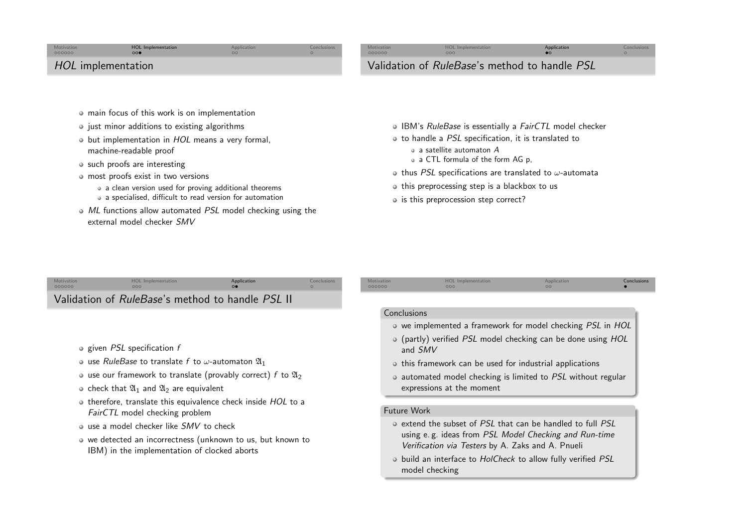### <span id="page-2-0"></span>[Motivation](#page-0-0)<br>000000 **HOL [Implementation](#page-2-0)**<br>  $\begin{array}{ccc}\n\bullet & \bullet & \bullet \\
\bullet & \bullet & \bullet\n\end{array}$ <br>  $\begin{array}{ccc}\n\bullet & \bullet & \bullet \\
\bullet & \bullet & \bullet\n\end{array}$ <br>  $\begin{array}{ccc}\n\bullet & \bullet & \bullet \\
\bullet & \bullet & \bullet \\
\bullet & \bullet & \bullet\n\end{array}$ <br>
<br>  $\begin{array}{ccc}\n\bullet & \bullet & \bullet \\
\bullet & \bullet & \bullet\n\end{array}$ <br>
<br>  $\begin{array}{ccc}\n\bullet & \bullet & \bullet \\
\bullet & \bullet & \bullet\n\end{array}$ HOL implementation

# Validation of RuleBase's method to handle PSL

- main focus of this work is on implementation
- $\bullet$  just minor additions to existing algorithms
- but implementation in HOL means a very formal, machine-readable proof
- such proofs are interesting
- most proofs exist in two versions
	- <sup>a</sup> clean version used for proving additional theorems
	- <sup>a</sup> specialised, difficult to read version for automation
- ML functions allow automated PSL model checking using the external model checker *SMV*

IBM's *RuleBase* is essentially a *FairCTL* model checker

 $HOL$  [Implementation](#page-2-0)  $\bigoplus_{n=0}^{\infty}$ 

- to handle <sup>a</sup> PSL specification, it is translated to
	- <sup>a</sup> satellite automaton <sup>A</sup>
	- <sup>a</sup> CTL formula of the form AG p,
- thus  $\mathit{PSL}$  specifications are translated to  $\omega$ -automata
- $\bullet$  this preprocessing step is a blackbox to us
- is this preprocession step correct?

#### HOL [Implementation](#page-2-0) **[Application](#page-2-0)** [Conclusions](#page-3-0) Motivatio 000000 Validation of RuleBase's method to handle PSL II

- given *PSL* specification *f*
- use  $\mathit{RuleBase}$  to translate  $f$  to  $\omega$ -automaton  $\mathfrak{A}_1$
- use our framework to translate (provably correct)  $f$  to  $\mathfrak{A}_{2}$
- check that  $\mathfrak{A}_1$  and  $\mathfrak{A}_2$  are equivalent
- therefore, translate this equivalence check inside HOL to <sup>a</sup> FairCTL model checking problem
- use a model checker like  $SMV$  to check
- we detected an incorrectness (unknown to us, but known toIBM) in the implementation of clocked aborts

#### Conclusions

Motivatio

000000

[Motivation](#page-0-0)<br>000000

we implemented a framework for model checking *PSL* in HOL

n and the HOL [Implementation](#page-2-0) and [Application](#page-2-0) Application [Conclusions](#page-3-0) Conclusions

- (partly) verified PSL model checking can be done using HOL and SMV
- this framework can be used for industrial applications
- automated model checking is limited to PSL without regular expressions at the moment

#### Future Work

- extend the subset of *PSL* that can be handled to full *PSL* using e. g. ideas from *PSL Model Checking and Run-time*<br>Version in Territory 2 level 2 Persian in 2 level 2 Persian in 2 level 2 Persian in 2 level 2 Persian in 2 lev Verification via Testers by A. Zaks and A. Pnueli
- build an interface to HolCheck to allow fully verified PSLmodel checking